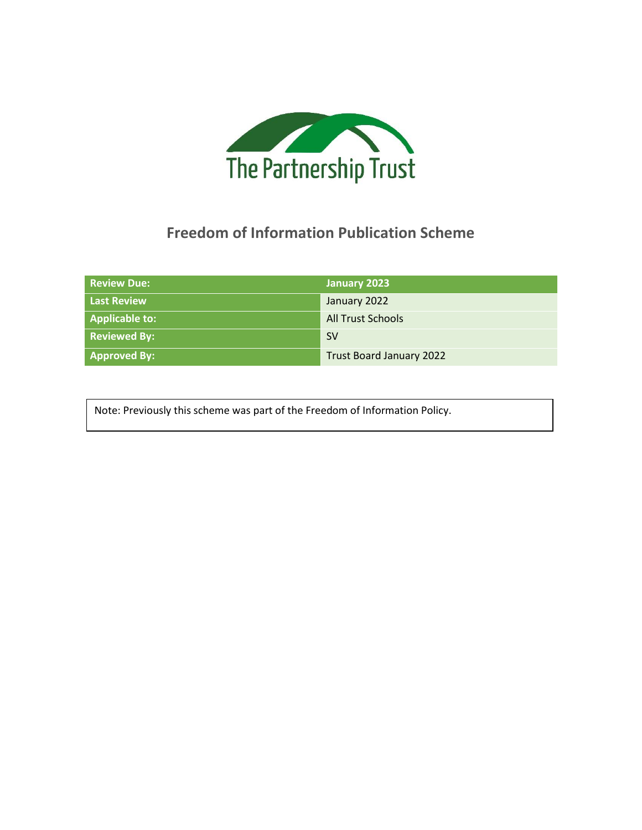

# **Freedom of Information Publication Scheme**

| <b>Review Due:</b>  | January 2023                    |
|---------------------|---------------------------------|
| <b>Last Review</b>  | January 2022                    |
| Applicable to:      | <b>All Trust Schools</b>        |
| <b>Reviewed By:</b> | -SV                             |
| <b>Approved By:</b> | <b>Trust Board January 2022</b> |

Note: Previously this scheme was part of the Freedom of Information Policy.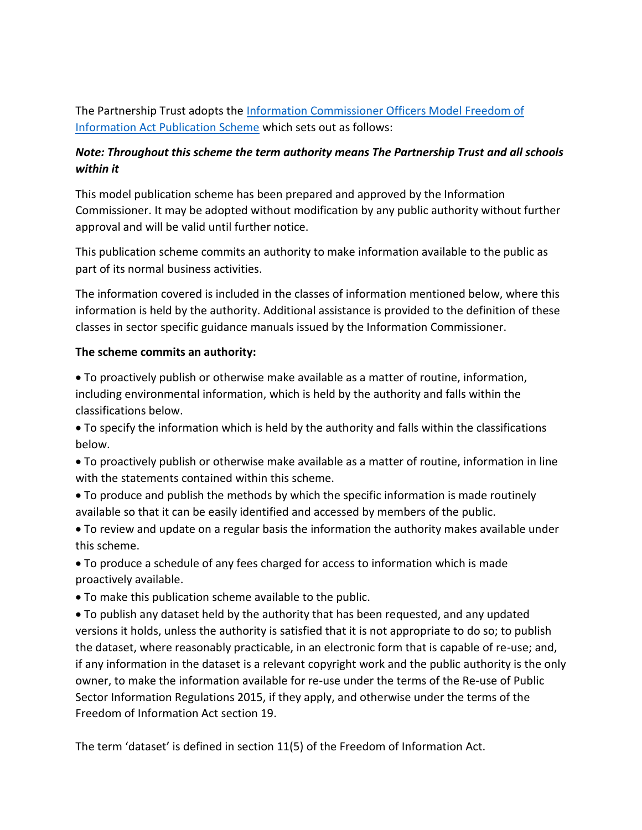The Partnership Trust adopts the [Information Commissioner Officers Model Freedom of](https://ico.org.uk/media/for-organisations/documents/1153/model-publication-scheme.pdf)  [Information Act Publication Scheme](https://ico.org.uk/media/for-organisations/documents/1153/model-publication-scheme.pdf) which sets out as follows:

### *Note: Throughout this scheme the term authority means The Partnership Trust and all schools within it*

This model publication scheme has been prepared and approved by the Information Commissioner. It may be adopted without modification by any public authority without further approval and will be valid until further notice.

This publication scheme commits an authority to make information available to the public as part of its normal business activities.

The information covered is included in the classes of information mentioned below, where this information is held by the authority. Additional assistance is provided to the definition of these classes in sector specific guidance manuals issued by the Information Commissioner.

#### **The scheme commits an authority:**

• To proactively publish or otherwise make available as a matter of routine, information, including environmental information, which is held by the authority and falls within the classifications below.

• To specify the information which is held by the authority and falls within the classifications below.

- To proactively publish or otherwise make available as a matter of routine, information in line with the statements contained within this scheme.
- To produce and publish the methods by which the specific information is made routinely available so that it can be easily identified and accessed by members of the public.
- To review and update on a regular basis the information the authority makes available under this scheme.

• To produce a schedule of any fees charged for access to information which is made proactively available.

• To make this publication scheme available to the public.

• To publish any dataset held by the authority that has been requested, and any updated versions it holds, unless the authority is satisfied that it is not appropriate to do so; to publish the dataset, where reasonably practicable, in an electronic form that is capable of re-use; and, if any information in the dataset is a relevant copyright work and the public authority is the only owner, to make the information available for re-use under the terms of the Re-use of Public Sector Information Regulations 2015, if they apply, and otherwise under the terms of the Freedom of Information Act section 19.

The term 'dataset' is defined in section 11(5) of the Freedom of Information Act.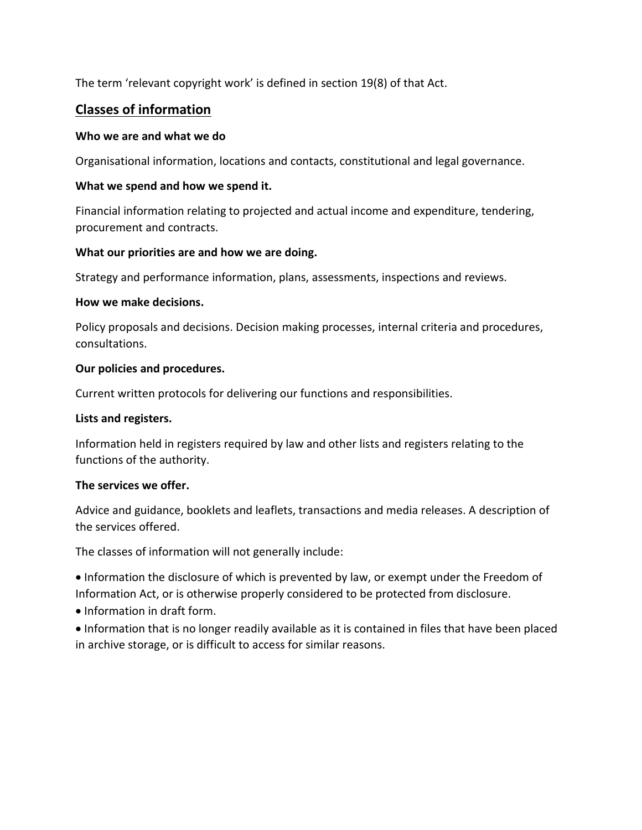The term 'relevant copyright work' is defined in section 19(8) of that Act.

### **Classes of information**

#### **Who we are and what we do**

Organisational information, locations and contacts, constitutional and legal governance.

#### **What we spend and how we spend it.**

Financial information relating to projected and actual income and expenditure, tendering, procurement and contracts.

#### **What our priorities are and how we are doing.**

Strategy and performance information, plans, assessments, inspections and reviews.

#### **How we make decisions.**

Policy proposals and decisions. Decision making processes, internal criteria and procedures, consultations.

#### **Our policies and procedures.**

Current written protocols for delivering our functions and responsibilities.

#### **Lists and registers.**

Information held in registers required by law and other lists and registers relating to the functions of the authority.

#### **The services we offer.**

Advice and guidance, booklets and leaflets, transactions and media releases. A description of the services offered.

The classes of information will not generally include:

• Information the disclosure of which is prevented by law, or exempt under the Freedom of Information Act, or is otherwise properly considered to be protected from disclosure.

• Information in draft form.

• Information that is no longer readily available as it is contained in files that have been placed in archive storage, or is difficult to access for similar reasons.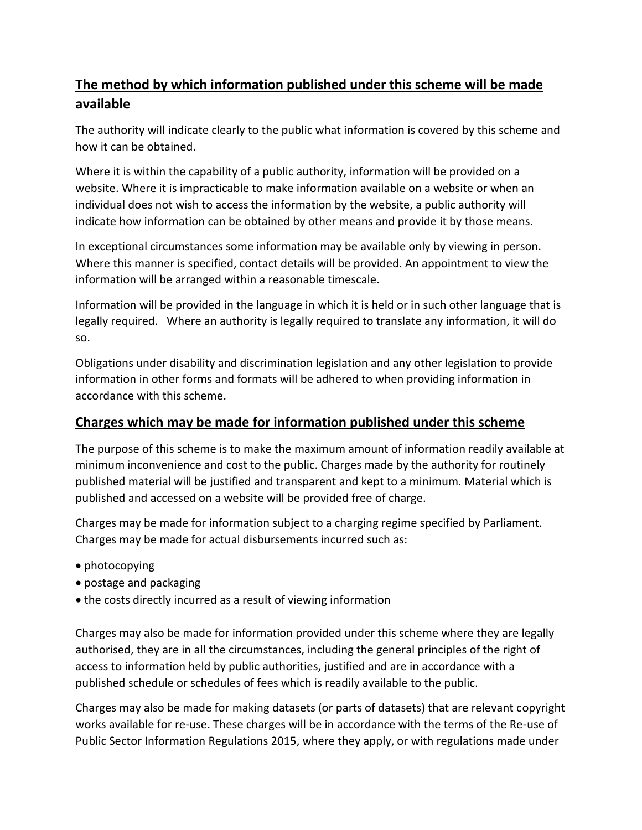# **The method by which information published under this scheme will be made available**

The authority will indicate clearly to the public what information is covered by this scheme and how it can be obtained.

Where it is within the capability of a public authority, information will be provided on a website. Where it is impracticable to make information available on a website or when an individual does not wish to access the information by the website, a public authority will indicate how information can be obtained by other means and provide it by those means.

In exceptional circumstances some information may be available only by viewing in person. Where this manner is specified, contact details will be provided. An appointment to view the information will be arranged within a reasonable timescale.

Information will be provided in the language in which it is held or in such other language that is legally required. Where an authority is legally required to translate any information, it will do so.

Obligations under disability and discrimination legislation and any other legislation to provide information in other forms and formats will be adhered to when providing information in accordance with this scheme.

## **Charges which may be made for information published under this scheme**

The purpose of this scheme is to make the maximum amount of information readily available at minimum inconvenience and cost to the public. Charges made by the authority for routinely published material will be justified and transparent and kept to a minimum. Material which is published and accessed on a website will be provided free of charge.

Charges may be made for information subject to a charging regime specified by Parliament. Charges may be made for actual disbursements incurred such as:

- photocopying
- postage and packaging
- the costs directly incurred as a result of viewing information

Charges may also be made for information provided under this scheme where they are legally authorised, they are in all the circumstances, including the general principles of the right of access to information held by public authorities, justified and are in accordance with a published schedule or schedules of fees which is readily available to the public.

Charges may also be made for making datasets (or parts of datasets) that are relevant copyright works available for re-use. These charges will be in accordance with the terms of the Re-use of Public Sector Information Regulations 2015, where they apply, or with regulations made under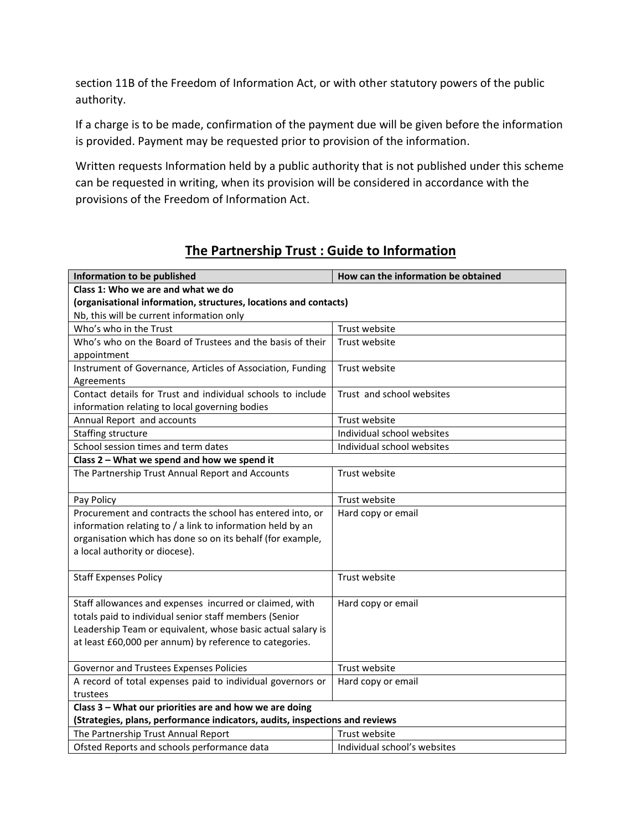section 11B of the Freedom of Information Act, or with other statutory powers of the public authority.

If a charge is to be made, confirmation of the payment due will be given before the information is provided. Payment may be requested prior to provision of the information.

Written requests Information held by a public authority that is not published under this scheme can be requested in writing, when its provision will be considered in accordance with the provisions of the Freedom of Information Act.

| Information to be published                                                 | How can the information be obtained |  |  |  |
|-----------------------------------------------------------------------------|-------------------------------------|--|--|--|
| Class 1: Who we are and what we do                                          |                                     |  |  |  |
| (organisational information, structures, locations and contacts)            |                                     |  |  |  |
| Nb, this will be current information only                                   |                                     |  |  |  |
| Who's who in the Trust                                                      | Trust website                       |  |  |  |
| Who's who on the Board of Trustees and the basis of their                   | Trust website                       |  |  |  |
| appointment                                                                 |                                     |  |  |  |
| Instrument of Governance, Articles of Association, Funding                  | Trust website                       |  |  |  |
| Agreements                                                                  |                                     |  |  |  |
| Contact details for Trust and individual schools to include                 | Trust and school websites           |  |  |  |
| information relating to local governing bodies                              |                                     |  |  |  |
| Annual Report and accounts                                                  | Trust website                       |  |  |  |
| Staffing structure                                                          | Individual school websites          |  |  |  |
| School session times and term dates                                         | Individual school websites          |  |  |  |
| Class 2 - What we spend and how we spend it                                 |                                     |  |  |  |
| The Partnership Trust Annual Report and Accounts                            | Trust website                       |  |  |  |
| Pay Policy                                                                  | Trust website                       |  |  |  |
| Procurement and contracts the school has entered into, or                   | Hard copy or email                  |  |  |  |
| information relating to / a link to information held by an                  |                                     |  |  |  |
| organisation which has done so on its behalf (for example,                  |                                     |  |  |  |
| a local authority or diocese).                                              |                                     |  |  |  |
|                                                                             |                                     |  |  |  |
| <b>Staff Expenses Policy</b>                                                | Trust website                       |  |  |  |
| Staff allowances and expenses incurred or claimed, with                     | Hard copy or email                  |  |  |  |
| totals paid to individual senior staff members (Senior                      |                                     |  |  |  |
| Leadership Team or equivalent, whose basic actual salary is                 |                                     |  |  |  |
| at least £60,000 per annum) by reference to categories.                     |                                     |  |  |  |
|                                                                             |                                     |  |  |  |
| Governor and Trustees Expenses Policies                                     | Trust website                       |  |  |  |
| A record of total expenses paid to individual governors or                  | Hard copy or email                  |  |  |  |
| trustees                                                                    |                                     |  |  |  |
| Class 3 - What our priorities are and how we are doing                      |                                     |  |  |  |
| (Strategies, plans, performance indicators, audits, inspections and reviews |                                     |  |  |  |
| The Partnership Trust Annual Report                                         | Trust website                       |  |  |  |
| Ofsted Reports and schools performance data                                 | Individual school's websites        |  |  |  |

## **The Partnership Trust : Guide to Information**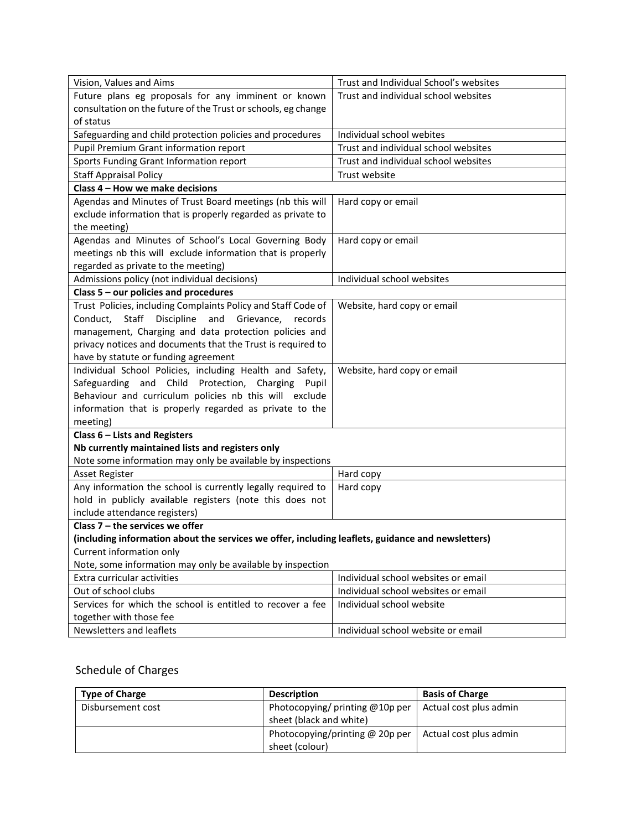| Vision, Values and Aims                                                                           | Trust and Individual School's websites |  |  |
|---------------------------------------------------------------------------------------------------|----------------------------------------|--|--|
| Future plans eg proposals for any imminent or known                                               | Trust and individual school websites   |  |  |
| consultation on the future of the Trust or schools, eg change                                     |                                        |  |  |
| of status                                                                                         |                                        |  |  |
| Safeguarding and child protection policies and procedures                                         | Individual school webites              |  |  |
| Pupil Premium Grant information report                                                            | Trust and individual school websites   |  |  |
| Sports Funding Grant Information report                                                           | Trust and individual school websites   |  |  |
| <b>Staff Appraisal Policy</b>                                                                     | Trust website                          |  |  |
| Class 4 – How we make decisions                                                                   |                                        |  |  |
| Agendas and Minutes of Trust Board meetings (nb this will                                         | Hard copy or email                     |  |  |
| exclude information that is properly regarded as private to                                       |                                        |  |  |
| the meeting)                                                                                      |                                        |  |  |
| Agendas and Minutes of School's Local Governing Body                                              | Hard copy or email                     |  |  |
| meetings nb this will exclude information that is properly                                        |                                        |  |  |
| regarded as private to the meeting)                                                               |                                        |  |  |
| Admissions policy (not individual decisions)                                                      | Individual school websites             |  |  |
| Class 5 - our policies and procedures                                                             |                                        |  |  |
| Trust Policies, including Complaints Policy and Staff Code of                                     | Website, hard copy or email            |  |  |
| Conduct, Staff<br>Discipline and Grievance,<br>records                                            |                                        |  |  |
| management, Charging and data protection policies and                                             |                                        |  |  |
| privacy notices and documents that the Trust is required to                                       |                                        |  |  |
| have by statute or funding agreement                                                              |                                        |  |  |
| Individual School Policies, including Health and Safety,                                          | Website, hard copy or email            |  |  |
| Safeguarding and Child Protection, Charging<br>Pupil                                              |                                        |  |  |
| Behaviour and curriculum policies nb this will exclude                                            |                                        |  |  |
| information that is properly regarded as private to the                                           |                                        |  |  |
| meeting)                                                                                          |                                        |  |  |
| Class 6 - Lists and Registers                                                                     |                                        |  |  |
| Nb currently maintained lists and registers only                                                  |                                        |  |  |
| Note some information may only be available by inspections                                        |                                        |  |  |
| <b>Asset Register</b>                                                                             | Hard copy                              |  |  |
| Any information the school is currently legally required to                                       | Hard copy                              |  |  |
| hold in publicly available registers (note this does not                                          |                                        |  |  |
| include attendance registers)                                                                     |                                        |  |  |
| Class $7$ – the services we offer                                                                 |                                        |  |  |
| (including information about the services we offer, including leaflets, guidance and newsletters) |                                        |  |  |
| Current information only                                                                          |                                        |  |  |
| Note, some information may only be available by inspection                                        |                                        |  |  |
| Extra curricular activities                                                                       | Individual school websites or email    |  |  |
| Out of school clubs                                                                               | Individual school websites or email    |  |  |
| Services for which the school is entitled to recover a fee                                        | Individual school website              |  |  |
| together with those fee                                                                           |                                        |  |  |
| <b>Newsletters and leaflets</b>                                                                   | Individual school website or email     |  |  |

# Schedule of Charges

| <b>Type of Charge</b> | <b>Description</b>                | <b>Basis of Charge</b> |
|-----------------------|-----------------------------------|------------------------|
| Disbursement cost     | Photocopying/ printing @10p per   | Actual cost plus admin |
|                       | sheet (black and white)           |                        |
|                       | Photocopying/printing $@$ 20p per | Actual cost plus admin |
|                       | sheet (colour)                    |                        |